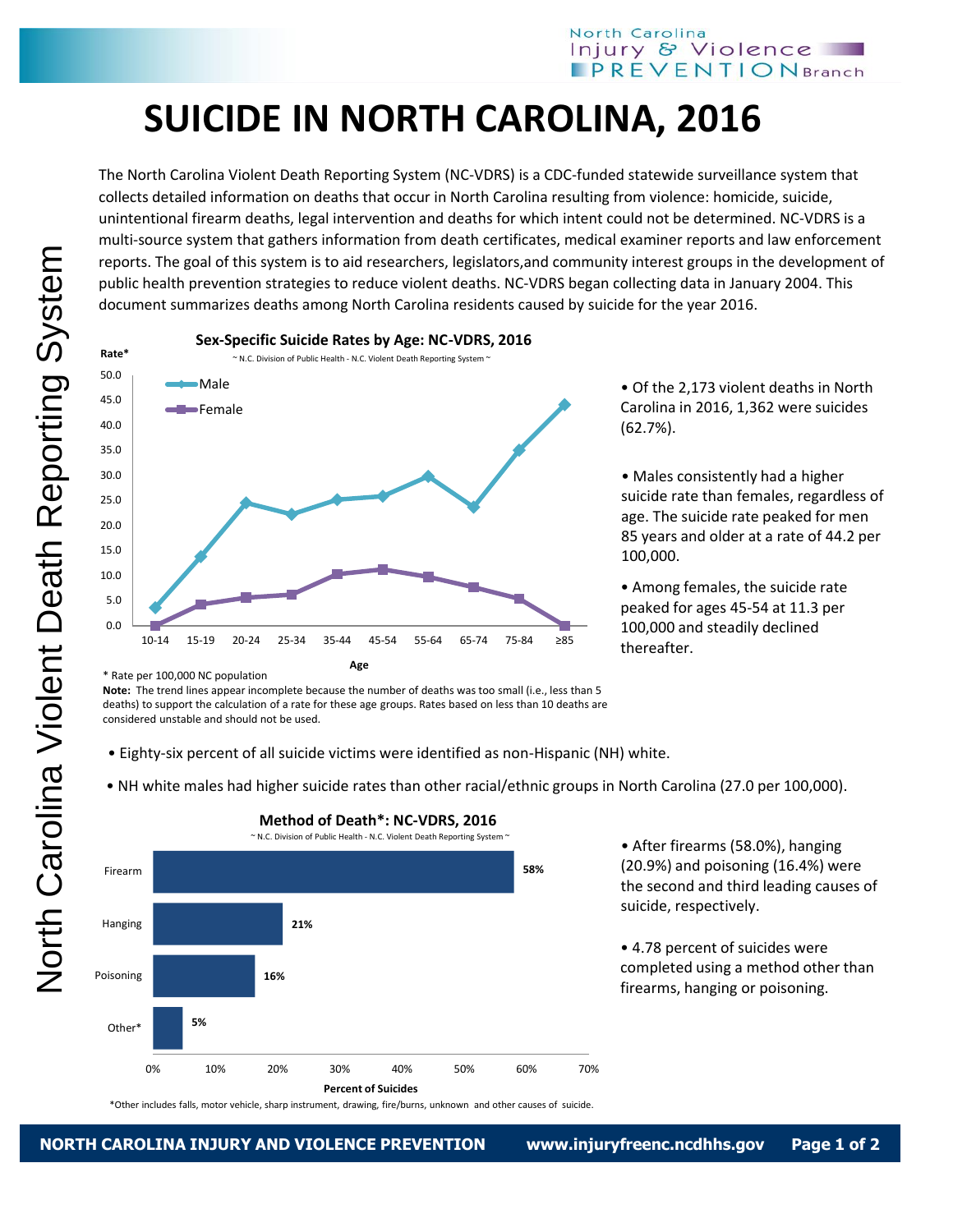## **SUICIDE IN NORTH CAROLINA, 2016**

The North Carolina Violent Death Reporting System (NC-VDRS) is a CDC-funded statewide surveillance system that collects detailed information on deaths that occur in North Carolina resulting from violence: homicide, suicide, unintentional firearm deaths, legal intervention and deaths for which intent could not be determined. NC-VDRS is a multi-source system that gathers information from death certificates, medical examiner reports and law enforcement reports. The goal of this system is to aid researchers, legislators,and community interest groups in the development of public health prevention strategies to reduce violent deaths. NC-VDRS began collecting data in January 2004. This document summarizes deaths among North Carolina residents caused by suicide for the year 2016.



**Sex-Specific Suicide Rates by Age: NC-VDRS, 2016**

• Of the 2,173 violent deaths in North Carolina in 2016, 1,362 were suicides (62.7%).

• Males consistently had a higher suicide rate than females, regardless of age. The suicide rate peaked for men 85 years and older at a rate of 44.2 per 100,000.

• Among females, the suicide rate peaked for ages 45-54 at 11.3 per 100,000 and steadily declined thereafter.

\* Rate per 100,000 NC population

**Note:** The trend lines appear incomplete because the number of deaths was too small (i.e., less than 5 deaths) to support the calculation of a rate for these age groups. Rates based on less than 10 deaths are considered unstable and should not be used.

- Eighty-six percent of all suicide victims were identified as non-Hispanic (NH) white.
- NH white males had higher suicide rates than other racial/ethnic groups in North Carolina (27.0 per 100,000).



## **Method of Death\*: NC-VDRS, 2016**

\*Other includes falls, motor vehicle, sharp instrument, drawing, fire/burns, unknown and other causes of suicide.